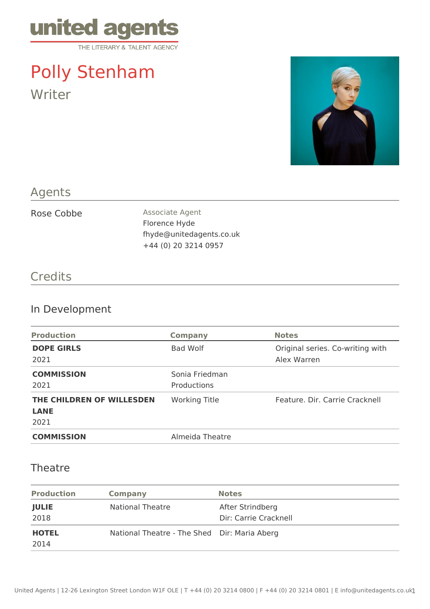

# Polly Stenham Writer



## Agents

Rose Cobbe Associate Agent Florence Hyde fhyde@unitedagents.co.uk +44 (0) 20 3214 0957

#### **Credits**

## In Development

| <b>Production</b>                                | <b>Company</b>                | <b>Notes</b>                                    |
|--------------------------------------------------|-------------------------------|-------------------------------------------------|
| <b>DOPE GIRLS</b><br>2021                        | Bad Wolf                      | Original series. Co-writing with<br>Alex Warren |
| <b>COMMISSION</b><br>2021                        | Sonia Friedman<br>Productions |                                                 |
| THE CHILDREN OF WILLESDEN<br><b>LANE</b><br>2021 | Working Title                 | Feature, Dir. Carrie Cracknell                  |
| <b>COMMISSION</b>                                | Almeida Theatre               |                                                 |

#### **Theatre**

| <b>Production</b>    | <b>Company</b>                               | <b>Notes</b>                              |
|----------------------|----------------------------------------------|-------------------------------------------|
| <b>JULIE</b><br>2018 | <b>National Theatre</b>                      | After Strindberg<br>Dir: Carrie Cracknell |
| <b>HOTEL</b><br>2014 | National Theatre - The Shed Dir: Maria Aberg |                                           |